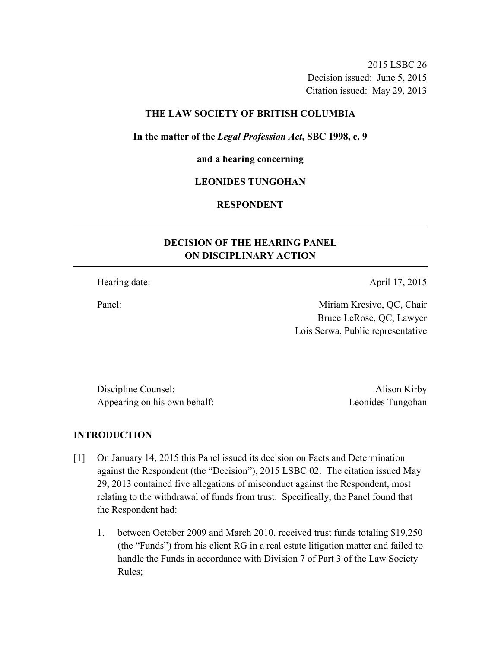2015 LSBC 26 Decision issued: June 5, 2015 Citation issued: May 29, 2013

### **THE LAW SOCIETY OF BRITISH COLUMBIA**

**In the matter of the** *Legal Profession Act***, SBC 1998, c. 9** 

#### **and a hearing concerning**

### **LEONIDES TUNGOHAN**

## **RESPONDENT**

# **DECISION OF THE HEARING PANEL ON DISCIPLINARY ACTION**

Hearing date: April 17, 2015

Panel: Miriam Kresivo, QC, Chair Bruce LeRose, QC, Lawyer Lois Serwa, Public representative

Discipline Counsel: Alison Kirby Appearing on his own behalf: Leonides Tungohan

### **INTRODUCTION**

- [1] On January 14, 2015 this Panel issued its decision on Facts and Determination against the Respondent (the "Decision"), 2015 LSBC 02. The citation issued May 29, 2013 contained five allegations of misconduct against the Respondent, most relating to the withdrawal of funds from trust. Specifically, the Panel found that the Respondent had:
	- 1. between October 2009 and March 2010, received trust funds totaling \$19,250 (the "Funds") from his client RG in a real estate litigation matter and failed to handle the Funds in accordance with Division 7 of Part 3 of the Law Society Rules;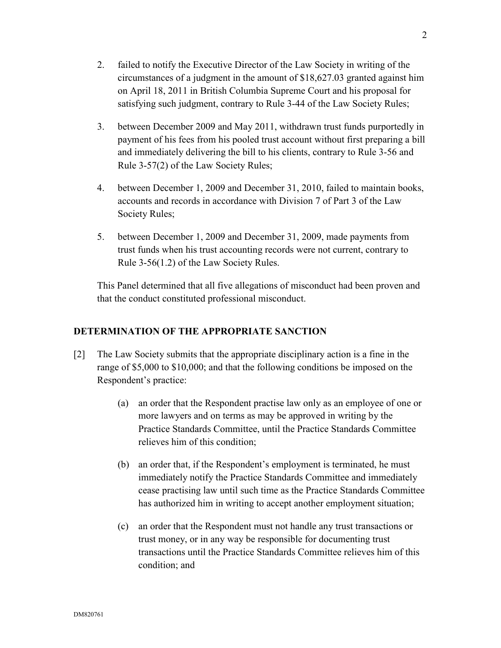- 2. failed to notify the Executive Director of the Law Society in writing of the circumstances of a judgment in the amount of \$18,627.03 granted against him on April 18, 2011 in British Columbia Supreme Court and his proposal for satisfying such judgment, contrary to Rule 3-44 of the Law Society Rules;
- 3. between December 2009 and May 2011, withdrawn trust funds purportedly in payment of his fees from his pooled trust account without first preparing a bill and immediately delivering the bill to his clients, contrary to Rule 3-56 and Rule 3-57(2) of the Law Society Rules;
- 4. between December 1, 2009 and December 31, 2010, failed to maintain books, accounts and records in accordance with Division 7 of Part 3 of the Law Society Rules;
- 5. between December 1, 2009 and December 31, 2009, made payments from trust funds when his trust accounting records were not current, contrary to Rule 3-56(1.2) of the Law Society Rules.

This Panel determined that all five allegations of misconduct had been proven and that the conduct constituted professional misconduct.

# **DETERMINATION OF THE APPROPRIATE SANCTION**

- [2] The Law Society submits that the appropriate disciplinary action is a fine in the range of \$5,000 to \$10,000; and that the following conditions be imposed on the Respondent's practice:
	- (a) an order that the Respondent practise law only as an employee of one or more lawyers and on terms as may be approved in writing by the Practice Standards Committee, until the Practice Standards Committee relieves him of this condition;
	- (b) an order that, if the Respondent's employment is terminated, he must immediately notify the Practice Standards Committee and immediately cease practising law until such time as the Practice Standards Committee has authorized him in writing to accept another employment situation;
	- (c) an order that the Respondent must not handle any trust transactions or trust money, or in any way be responsible for documenting trust transactions until the Practice Standards Committee relieves him of this condition; and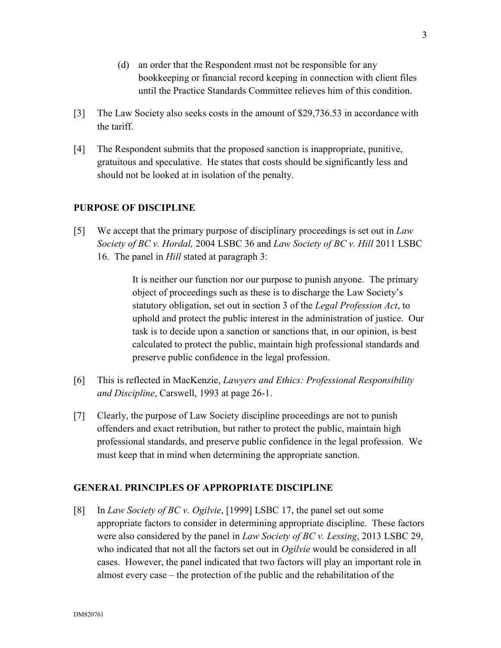- (d) an order that the Respondent must not be responsible for any bookkeeping or financial record keeping in connection with client files until the Practice Standards Committee relieves him of this condition.
- [3] The Law Society also seeks costs in the amount of \$29,736.53 in accordance with the tariff.
- [4] The Respondent submits that the proposed sanction is inappropriate, punitive, gratuitous and speculative. He states that costs should be significantly less and should not be looked at in isolation of the penalty.

## **PURPOSE OF DISCIPLINE**

[5] We accept that the primary purpose of disciplinary proceedings is set out in *Law Society of BC v. Hordal,* 2004 LSBC 36 and *Law Society of BC v. Hill* 2011 LSBC 16. The panel in *Hill* stated at paragraph 3:

> It is neither our function nor our purpose to punish anyone. The primary object of proceedings such as these is to discharge the Law Society's statutory obligation, set out in section 3 of the *Legal Profession Act*, to uphold and protect the public interest in the administration of justice. Our task is to decide upon a sanction or sanctions that, in our opinion, is best calculated to protect the public, maintain high professional standards and preserve public confidence in the legal profession.

- [6] This is reflected in MacKenzie, *Lawyers and Ethics: Professional Responsibility and Discipline*, Carswell, 1993 at page 26-1.
- [7] Clearly, the purpose of Law Society discipline proceedings are not to punish offenders and exact retribution, but rather to protect the public, maintain high professional standards, and preserve public confidence in the legal profession. We must keep that in mind when determining the appropriate sanction.

## **GENERAL PRINCIPLES OF APPROPRIATE DISCIPLINE**

[8] In *Law Society of BC v. Ogilvie*, [1999] LSBC 17, the panel set out some appropriate factors to consider in determining appropriate discipline. These factors were also considered by the panel in *Law Society of BC v. Lessing*, 2013 LSBC 29, who indicated that not all the factors set out in *Ogilvie* would be considered in all cases. However, the panel indicated that two factors will play an important role in almost every case – the protection of the public and the rehabilitation of the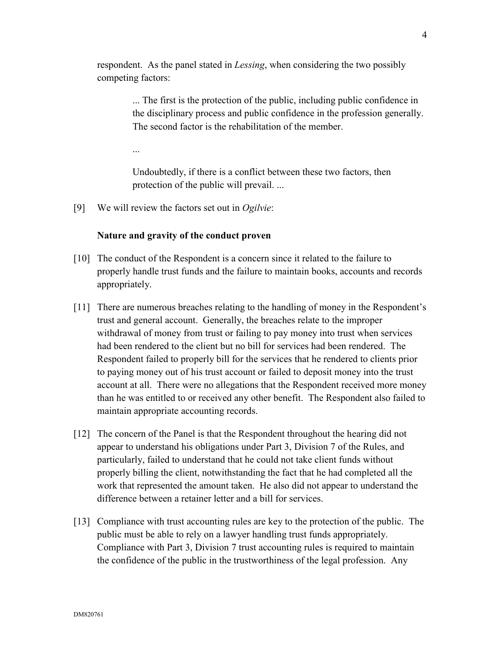respondent. As the panel stated in *Lessing*, when considering the two possibly competing factors:

> ... The first is the protection of the public, including public confidence in the disciplinary process and public confidence in the profession generally. The second factor is the rehabilitation of the member.

...

Undoubtedly, if there is a conflict between these two factors, then protection of the public will prevail. ...

[9] We will review the factors set out in *Ogilvie*:

#### **Nature and gravity of the conduct proven**

- [10] The conduct of the Respondent is a concern since it related to the failure to properly handle trust funds and the failure to maintain books, accounts and records appropriately.
- [11] There are numerous breaches relating to the handling of money in the Respondent's trust and general account. Generally, the breaches relate to the improper withdrawal of money from trust or failing to pay money into trust when services had been rendered to the client but no bill for services had been rendered. The Respondent failed to properly bill for the services that he rendered to clients prior to paying money out of his trust account or failed to deposit money into the trust account at all. There were no allegations that the Respondent received more money than he was entitled to or received any other benefit. The Respondent also failed to maintain appropriate accounting records.
- [12] The concern of the Panel is that the Respondent throughout the hearing did not appear to understand his obligations under Part 3, Division 7 of the Rules, and particularly, failed to understand that he could not take client funds without properly billing the client, notwithstanding the fact that he had completed all the work that represented the amount taken. He also did not appear to understand the difference between a retainer letter and a bill for services.
- [13] Compliance with trust accounting rules are key to the protection of the public. The public must be able to rely on a lawyer handling trust funds appropriately. Compliance with Part 3, Division 7 trust accounting rules is required to maintain the confidence of the public in the trustworthiness of the legal profession. Any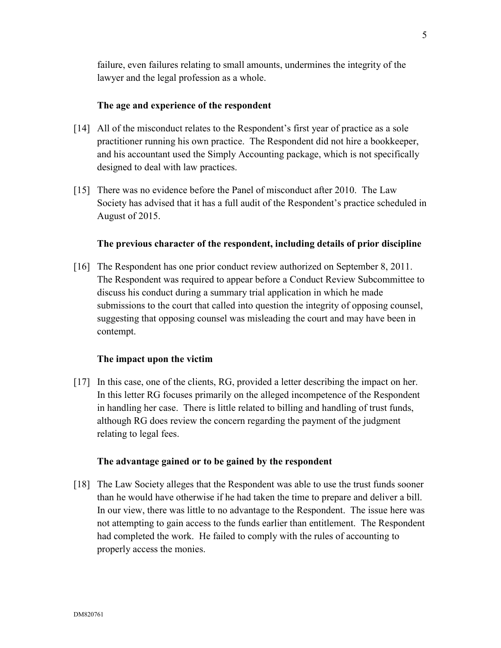failure, even failures relating to small amounts, undermines the integrity of the lawyer and the legal profession as a whole.

## **The age and experience of the respondent**

- [14] All of the misconduct relates to the Respondent's first year of practice as a sole practitioner running his own practice. The Respondent did not hire a bookkeeper, and his accountant used the Simply Accounting package, which is not specifically designed to deal with law practices.
- [15] There was no evidence before the Panel of misconduct after 2010. The Law Society has advised that it has a full audit of the Respondent's practice scheduled in August of 2015.

## **The previous character of the respondent, including details of prior discipline**

[16] The Respondent has one prior conduct review authorized on September 8, 2011. The Respondent was required to appear before a Conduct Review Subcommittee to discuss his conduct during a summary trial application in which he made submissions to the court that called into question the integrity of opposing counsel, suggesting that opposing counsel was misleading the court and may have been in contempt.

## **The impact upon the victim**

[17] In this case, one of the clients, RG, provided a letter describing the impact on her. In this letter RG focuses primarily on the alleged incompetence of the Respondent in handling her case. There is little related to billing and handling of trust funds, although RG does review the concern regarding the payment of the judgment relating to legal fees.

## **The advantage gained or to be gained by the respondent**

[18] The Law Society alleges that the Respondent was able to use the trust funds sooner than he would have otherwise if he had taken the time to prepare and deliver a bill. In our view, there was little to no advantage to the Respondent. The issue here was not attempting to gain access to the funds earlier than entitlement. The Respondent had completed the work. He failed to comply with the rules of accounting to properly access the monies.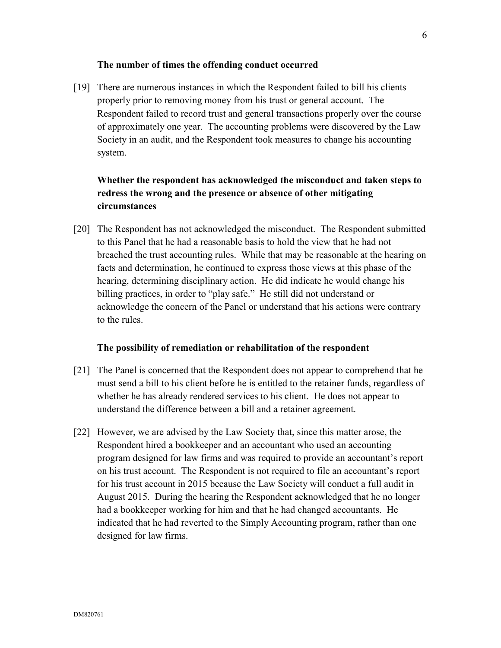#### **The number of times the offending conduct occurred**

[19] There are numerous instances in which the Respondent failed to bill his clients properly prior to removing money from his trust or general account. The Respondent failed to record trust and general transactions properly over the course of approximately one year. The accounting problems were discovered by the Law Society in an audit, and the Respondent took measures to change his accounting system.

# **Whether the respondent has acknowledged the misconduct and taken steps to redress the wrong and the presence or absence of other mitigating circumstances**

[20] The Respondent has not acknowledged the misconduct. The Respondent submitted to this Panel that he had a reasonable basis to hold the view that he had not breached the trust accounting rules. While that may be reasonable at the hearing on facts and determination, he continued to express those views at this phase of the hearing, determining disciplinary action. He did indicate he would change his billing practices, in order to "play safe." He still did not understand or acknowledge the concern of the Panel or understand that his actions were contrary to the rules.

#### **The possibility of remediation or rehabilitation of the respondent**

- [21] The Panel is concerned that the Respondent does not appear to comprehend that he must send a bill to his client before he is entitled to the retainer funds, regardless of whether he has already rendered services to his client. He does not appear to understand the difference between a bill and a retainer agreement.
- [22] However, we are advised by the Law Society that, since this matter arose, the Respondent hired a bookkeeper and an accountant who used an accounting program designed for law firms and was required to provide an accountant's report on his trust account. The Respondent is not required to file an accountant's report for his trust account in 2015 because the Law Society will conduct a full audit in August 2015. During the hearing the Respondent acknowledged that he no longer had a bookkeeper working for him and that he had changed accountants. He indicated that he had reverted to the Simply Accounting program, rather than one designed for law firms.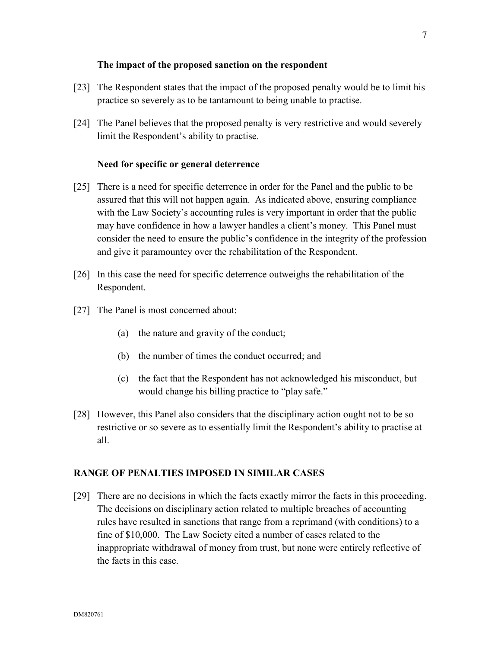### **The impact of the proposed sanction on the respondent**

- [23] The Respondent states that the impact of the proposed penalty would be to limit his practice so severely as to be tantamount to being unable to practise.
- [24] The Panel believes that the proposed penalty is very restrictive and would severely limit the Respondent's ability to practise.

### **Need for specific or general deterrence**

- [25] There is a need for specific deterrence in order for the Panel and the public to be assured that this will not happen again. As indicated above, ensuring compliance with the Law Society's accounting rules is very important in order that the public may have confidence in how a lawyer handles a client's money. This Panel must consider the need to ensure the public's confidence in the integrity of the profession and give it paramountcy over the rehabilitation of the Respondent.
- [26] In this case the need for specific deterrence outweighs the rehabilitation of the Respondent.
- [27] The Panel is most concerned about:
	- (a) the nature and gravity of the conduct;
	- (b) the number of times the conduct occurred; and
	- (c) the fact that the Respondent has not acknowledged his misconduct, but would change his billing practice to "play safe."
- [28] However, this Panel also considers that the disciplinary action ought not to be so restrictive or so severe as to essentially limit the Respondent's ability to practise at all.

## **RANGE OF PENALTIES IMPOSED IN SIMILAR CASES**

[29] There are no decisions in which the facts exactly mirror the facts in this proceeding. The decisions on disciplinary action related to multiple breaches of accounting rules have resulted in sanctions that range from a reprimand (with conditions) to a fine of \$10,000. The Law Society cited a number of cases related to the inappropriate withdrawal of money from trust, but none were entirely reflective of the facts in this case.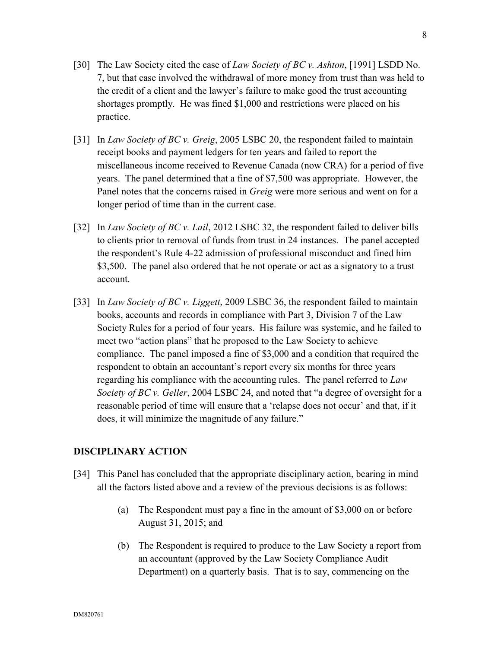- [30] The Law Society cited the case of *Law Society of BC v. Ashton*, [1991] LSDD No. 7, but that case involved the withdrawal of more money from trust than was held to the credit of a client and the lawyer's failure to make good the trust accounting shortages promptly. He was fined \$1,000 and restrictions were placed on his practice.
- [31] In *Law Society of BC v. Greig*, 2005 LSBC 20, the respondent failed to maintain receipt books and payment ledgers for ten years and failed to report the miscellaneous income received to Revenue Canada (now CRA) for a period of five years. The panel determined that a fine of \$7,500 was appropriate. However, the Panel notes that the concerns raised in *Greig* were more serious and went on for a longer period of time than in the current case.
- [32] In *Law Society of BC v. Lail*, 2012 LSBC 32, the respondent failed to deliver bills to clients prior to removal of funds from trust in 24 instances. The panel accepted the respondent's Rule 4-22 admission of professional misconduct and fined him \$3,500. The panel also ordered that he not operate or act as a signatory to a trust account.
- [33] In *Law Society of BC v. Liggett*, 2009 LSBC 36, the respondent failed to maintain books, accounts and records in compliance with Part 3, Division 7 of the Law Society Rules for a period of four years. His failure was systemic, and he failed to meet two "action plans" that he proposed to the Law Society to achieve compliance. The panel imposed a fine of \$3,000 and a condition that required the respondent to obtain an accountant's report every six months for three years regarding his compliance with the accounting rules. The panel referred to *Law Society of BC v. Geller*, 2004 LSBC 24, and noted that "a degree of oversight for a reasonable period of time will ensure that a 'relapse does not occur' and that, if it does, it will minimize the magnitude of any failure."

#### **DISCIPLINARY ACTION**

- [34] This Panel has concluded that the appropriate disciplinary action, bearing in mind all the factors listed above and a review of the previous decisions is as follows:
	- (a) The Respondent must pay a fine in the amount of \$3,000 on or before August 31, 2015; and
	- (b) The Respondent is required to produce to the Law Society a report from an accountant (approved by the Law Society Compliance Audit Department) on a quarterly basis. That is to say, commencing on the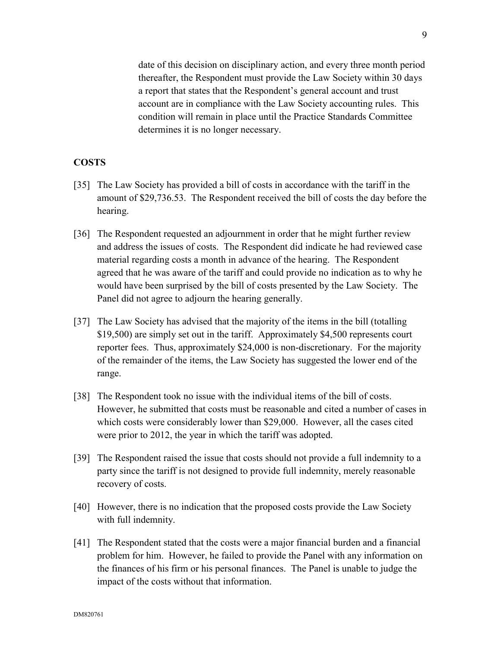date of this decision on disciplinary action, and every three month period thereafter, the Respondent must provide the Law Society within 30 days a report that states that the Respondent's general account and trust account are in compliance with the Law Society accounting rules. This condition will remain in place until the Practice Standards Committee determines it is no longer necessary.

## **COSTS**

- [35] The Law Society has provided a bill of costs in accordance with the tariff in the amount of \$29,736.53. The Respondent received the bill of costs the day before the hearing.
- [36] The Respondent requested an adjournment in order that he might further review and address the issues of costs. The Respondent did indicate he had reviewed case material regarding costs a month in advance of the hearing. The Respondent agreed that he was aware of the tariff and could provide no indication as to why he would have been surprised by the bill of costs presented by the Law Society. The Panel did not agree to adjourn the hearing generally.
- [37] The Law Society has advised that the majority of the items in the bill (totalling \$19,500) are simply set out in the tariff. Approximately \$4,500 represents court reporter fees. Thus, approximately \$24,000 is non-discretionary. For the majority of the remainder of the items, the Law Society has suggested the lower end of the range.
- [38] The Respondent took no issue with the individual items of the bill of costs. However, he submitted that costs must be reasonable and cited a number of cases in which costs were considerably lower than \$29,000. However, all the cases cited were prior to 2012, the year in which the tariff was adopted.
- [39] The Respondent raised the issue that costs should not provide a full indemnity to a party since the tariff is not designed to provide full indemnity, merely reasonable recovery of costs.
- [40] However, there is no indication that the proposed costs provide the Law Society with full indemnity.
- [41] The Respondent stated that the costs were a major financial burden and a financial problem for him. However, he failed to provide the Panel with any information on the finances of his firm or his personal finances. The Panel is unable to judge the impact of the costs without that information.